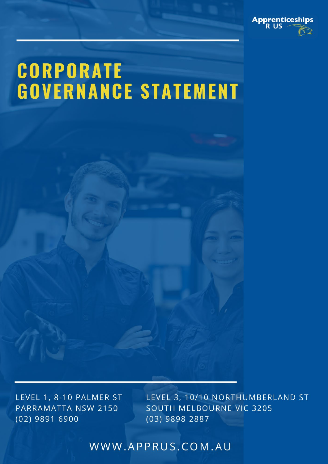

# **CORPORATE GOVERNANCE STATEMENT**

LEVEL 1, 8-10 PALMER ST PARRAMATTA NSW 2150  $(02)$  9891 6900

LEVEL 3, 10/10 NORTHUMBERLAND ST SOUTH MELBOURNE VIC 3205 (03) 9898 2887

WWW.APPRUS.COM.AU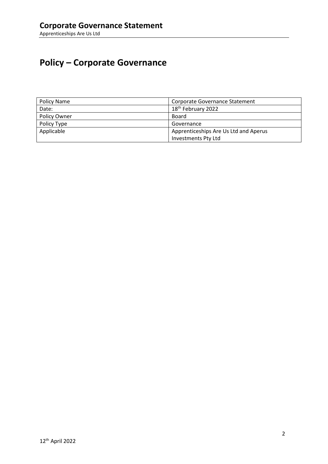## **Policy – Corporate Governance**

| Policy Name  | Corporate Governance Statement        |
|--------------|---------------------------------------|
| Date:        | 18 <sup>th</sup> February 2022        |
| Policy Owner | Board                                 |
| Policy Type  | Governance                            |
| Applicable   | Apprenticeships Are Us Ltd and Aperus |
|              | <b>Investments Pty Ltd</b>            |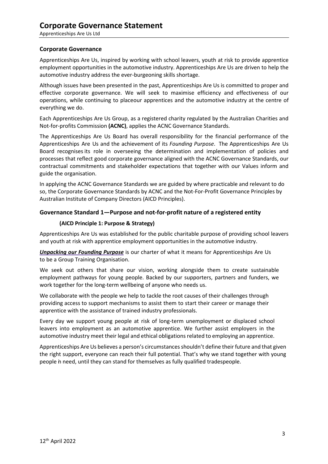#### **Corporate Governance**

Apprenticeships Are Us, inspired by working with school leavers, youth at risk to provide apprentice employment opportunities in the automotive industry. Apprenticeships Are Us are driven to help the automotive industry address the ever-burgeoning skills shortage.

Although issues have been presented in the past, Apprenticeships Are Us is committed to proper and effective corporate governance. We will seek to maximise efficiency and effectiveness of our operations, while continuing to placeour apprentices and the automotive industry at the centre of everything we do.

Each Apprenticeships Are Us Group, as a registered charity regulated by the Australian Charities and Not-for-profits Commission **(ACNC)**, applies the ACNC Governance Standards.

The Apprenticeships Are Us Board has overall responsibility for the financial performance of the Apprenticeships Are Us and the achievement of its *Founding Purpose*. The Apprenticeships Are Us Board recognises its role in overseeing the determination and implementation of policies and processes that reflect good corporate governance aligned with the ACNC Governance Standards, our contractual commitments and stakeholder expectations that together with our Values inform and guide the organisation.

In applying the ACNC Governance Standards we are guided by where practicable and relevant to do so, the Corporate Governance Standards by ACNC and the Not-For-Profit Governance Principles by Australian Institute of Company Directors (AICD Principles).

#### **Governance Standard 1—Purpose and not-for-profit nature of a registered entity**

#### **(AICD Principle 1: Purpose & Strategy)**

Apprenticeships Are Us was established for the public charitable purpose of providing school leavers and youth at risk with apprentice employment opportunities in the automotive industry.

*[Unpacking our Founding Purpose](https://www.missionaustralia.com.au/about-us/our-purpose)* is our charter of what it means for Apprenticeships Are Us to be a Group Training Organisation.

We seek out others that share our vision, working alongside them to create sustainable employment pathways for young people. Backed by our supporters, partners and funders, we work together for the long-term wellbeing of anyone who needs us.

We collaborate with the people we help to tackle the root causes of their challenges through providing access to support mechanisms to assist them to start their career or manage their apprentice with the assistance of trained industry professionals.

Every day we support young people at risk of long-term unemployment or displaced school leavers into employment as an automotive apprentice. We further assist employers in the automotive industry meet their legal and ethical obligations related to employing an apprentice.

Apprenticeships Are Us believes a person's circumstances shouldn't define their future and that given the right support, everyone can reach their full potential. That's why we stand together with young people in need, until they can stand for themselves as fully qualified tradespeople.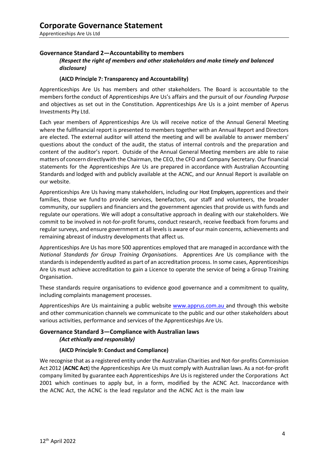#### **Governance Standard 2—Accountability to members**

#### *(Respect the right of members and other stakeholders and make timely and balanced disclosure)*

#### **(AICD Principle 7: Transparency and Accountability)**

Apprenticeships Are Us has members and other stakeholders. The Board is accountable to the members for the conduct of Apprenticeships Are Us's affairs and the pursuit of our *Founding Purpose*  and objectives as set out in the Constitution. Apprenticeships Are Us is a joint member of Aperus Investments Pty Ltd.

Each year members of Apprenticeships Are Us will receive notice of the Annual General Meeting where the fullfinancial report is presented to members together with an Annual Report and Directors are elected. The external auditor will attend the meeting and will be available to answer members' questions about the conduct of the audit, the status of internal controls and the preparation and content of the auditor's report. Outside of the Annual General Meeting members are able to raise matters of concern directlywith the Chairman, the CEO, the CFO and Company Secretary. Our financial statements for the Apprenticeships Are Us are prepared in accordance with Australian Accounting Standards and lodged with and publicly available at the ACNC, and our Annual Report is available on our website.

Apprenticeships Are Us having many stakeholders, including our Host Employers, apprentices and their families, those we fund to provide services, benefactors, our staff and volunteers, the broader community, our suppliers and financiers and the government agencies that provide us with funds and regulate our operations. We will adopt a consultative approach in dealing with our stakeholders. We commit to be involved in not-for-profit forums, conduct research, receive feedback from forums and regular surveys, and ensure government at all levels is aware of our main concerns, achievements and remaining abreast of industry developments that affect us.

Apprenticeships Are Us has more 500 apprentices employed that are managed in accordance with the *National Standards for Group Training Organisations*. Apprentices Are Us compliance with the standards is independently audited as part of an accreditation process. In some cases, Apprenticeships Are Us must achieve accreditation to gain a Licence to operate the service of being a Group Training Organisation.

These standards require organisations to evidence good governance and a commitment to quality, including complaints management processes.

Apprenticeships Are Us maintaining a public website www.apprus.com.au and through this website and other communication channels we communicate to the public and our other stakeholders about various activities, performance and services of the Apprenticeships Are Us.

#### **Governance Standard 3—Compliance with Australian laws** *(Act ethically and responsibly)*

#### **(AICD Principle 9: Conduct and Compliance)**

We recognise that as a registered entity under the Australian Charities and Not-for-profits Commission Act 2012 (**ACNC Act**) the Apprenticeships Are Us must comply with Australian laws. As a not-for-profit company limited by guarantee each Apprenticeships Are Us is registered under the Corporations Act 2001 which continues to apply but, in a form, modified by the ACNC Act. Inaccordance with the ACNC Act, the ACNC is the lead regulator and the ACNC Act is the main law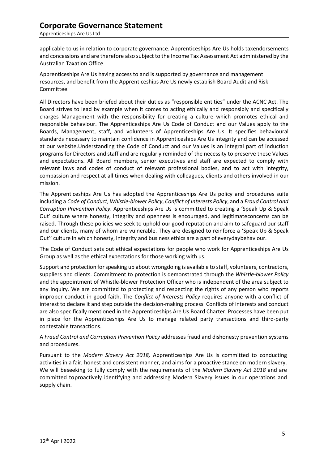## **Corporate Governance Statement**

Apprenticeships Are Us Ltd

applicable to us in relation to corporate governance. Apprenticeships Are Us holds taxendorsements and concessions and are therefore also subject to the Income Tax Assessment Act administered by the Australian Taxation Office.

Apprenticeships Are Us having access to and is supported by governance and management resources, and benefit from the Apprenticeships Are Us newly establish Board Audit and Risk Committee.

All Directors have been briefed about their duties as "responsible entities" under the ACNC Act. The Board strives to lead by example when it comes to acting ethically and responsibly and specifically charges Management with the responsibility for creating a culture which promotes ethical and responsible behaviour. The Apprenticeships Are Us Code of Conduct and our Values apply to the Boards, Management, staff, and volunteers of Apprenticeships Are Us. It specifies behavioural standards necessary to maintain confidence in Apprenticeships Are Us integrity and can be accessed at our website.Understanding the Code of Conduct and our Values is an integral part of induction programs for Directors and staff and are regularly reminded of the necessity to preserve these Values and expectations. All Board members, senior executives and staff are expected to comply with relevant laws and codes of conduct of relevant professional bodies, and to act with integrity, compassion and respect at all times when dealing with colleagues, clients and others involved in our mission.

The Apprenticeships Are Us has adopted the Apprenticeships Are Us policy and procedures suite including a *Code of Conduct*, *Whistle-blower Policy*, *Conflict of Interests Policy*, and a *Fraud Control and Corruption Prevention Policy*. Apprenticeships Are Us is committed to creating a 'Speak Up & Speak Out' culture where honesty, integrity and openness is encouraged, and legitimateconcerns can be raised. Through these policies we seek to uphold our good reputation and aim to safeguard our staff and our clients, many of whom are vulnerable. They are designed to reinforce a 'Speak Up & Speak Out'' culture in which honesty, integrity and business ethics are a part of everydaybehaviour.

The Code of Conduct sets out ethical expectations for people who work for Apprenticeships Are Us Group as well as the ethical expectations for those working with us.

Support and protection forspeaking up about wrongdoing is available to staff, volunteers, contractors, suppliers and clients. Commitment to protection is demonstrated through the *Whistle-blower Policy* and the appointment of Whistle-blower Protection Officer who is independent of the area subject to any inquiry. We are committed to protecting and respecting the rights of any person who reports improper conduct in good faith. The *Conflict of Interests Policy* requires anyone with a conflict of interest to declare it and step outside the decision-making process. Conflicts of interests and conduct are also specifically mentioned in the Apprenticeships Are Us Board Charter. Processes have been put in place for the Apprenticeships Are Us to manage related party transactions and third-party contestable transactions.

#### A *Fraud Control and Corruption Prevention Policy* addresses fraud and dishonesty prevention systems and procedures.

Pursuant to the *Modern Slavery Act 2018,* Apprenticeships Are Us is committed to conducting activities in a fair, honest and consistent manner, and aims for a proactive stance on modern slavery. We will beseeking to fully comply with the requirements of the *Modern Slavery Ac*t *2018* and are committed toproactively identifying and addressing Modern Slavery issues in our operations and supply chain.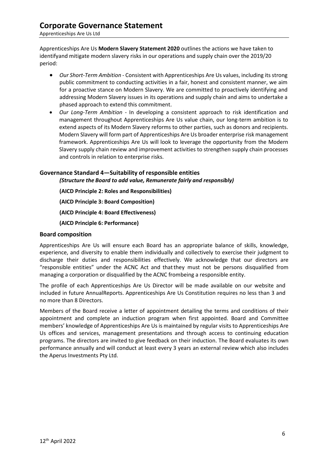Apprenticeships Are Us **Modern Slavery Statement 2020** outlines the actions we have taken to identifyand mitigate modern slavery risks in our operations and supply chain over the 2019/20 period:

- *Our Short-Term Ambition*  Consistent with Apprenticeships Are Us values, including its strong public commitment to conducting activities in a fair, honest and consistent manner, we aim for a proactive stance on Modern Slavery. We are committed to proactively identifying and addressing Modern Slavery issues in its operations and supply chain and aims to undertake a phased approach to extend this commitment.
- *Our Long-Term Ambition*  In developing a consistent approach to risk identification and management throughout Apprenticeships Are Us value chain, our long-term ambition is to extend aspects of its Modern Slavery reforms to other parties, such as donors and recipients. Modern Slavery will form part of Apprenticeships Are Us broader enterprise risk management framework. Apprenticeships Are Us will look to leverage the opportunity from the Modern Slavery supply chain review and improvement activities to strengthen supply chain processes and controls in relation to enterprise risks.

#### **Governance Standard 4—Suitability of responsible entities**

*(Structure the Board to add value, Remunerate fairly and responsibly)*

**(AICD Principle 2: Roles and Responsibilities)**

**(AICD Principle 3: Board Composition)**

**(AICD Principle 4: Board Effectiveness)**

**(AICD Principle 6: Performance)**

#### **Board composition**

Apprenticeships Are Us will ensure each Board has an appropriate balance of skills, knowledge, experience, and diversity to enable them individually and collectively to exercise their judgment to discharge their duties and responsibilities effectively. We acknowledge that our directors are "responsible entities" under the ACNC Act and thatthey must not be persons disqualified from managing a corporation or disqualified by the ACNC frombeing a responsible entity.

The profile of each Apprenticeships Are Us Director will be made available on our website and included in future AnnualReports. Apprenticeships Are Us Constitution requires no less than 3 and no more than 8 Directors.

Members of the Board receive a letter of appointment detailing the terms and conditions of their appointment and complete an induction program when first appointed. Board and Committee members' knowledge of Apprenticeships Are Us is maintained by regular visits to Apprenticeships Are Us offices and services, management presentations and through access to continuing education programs. The directors are invited to give feedback on their induction. The Board evaluates its own performance annually and will conduct at least every 3 years an external review which also includes the Aperus Investments Pty Ltd.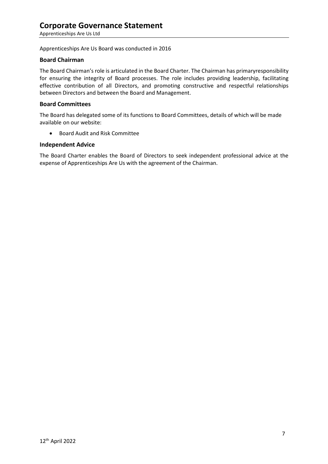Apprenticeships Are Us Board was conducted in 2016

#### **Board Chairman**

The Board Chairman's role is articulated in the Board Charter. The Chairman has primaryresponsibility for ensuring the integrity of Board processes. The role includes providing leadership, facilitating effective contribution of all Directors, and promoting constructive and respectful relationships between Directors and between the Board and Management.

#### **Board Committees**

The Board has delegated some of its functions to Board Committees, details of which will be made available on our website:

• Board Audit and Risk Committee

#### **Independent Advice**

The Board Charter enables the Board of Directors to seek independent professional advice at the expense of Apprenticeships Are Us with the agreement of the Chairman.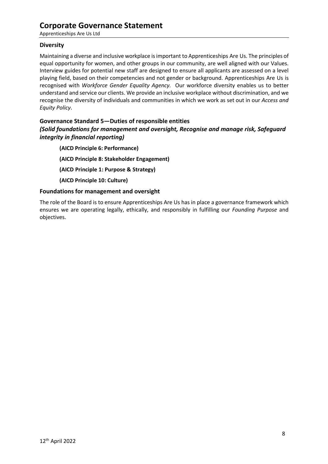## **Corporate Governance Statement**

Apprenticeships Are Us Ltd

#### **Diversity**

Maintaining a diverse and inclusive workplace isimportant to Apprenticeships Are Us. The principles of equal opportunity for women, and other groups in our community, are well aligned with our Values. Interview guides for potential new staff are designed to ensure all applicants are assessed on a level playing field, based on their competencies and not gender or background. Apprenticeships Are Us is recognised with *Workforce Gender Equality Agency.* Our workforce diversity enables us to better understand and service our clients. We provide an inclusive workplace without discrimination, and we recognise the diversity of individuals and communities in which we work as set out in our *Access and Equity Policy*.

#### **Governance Standard 5—Duties of responsible entities**

#### *(Solid foundations for management and oversight, Recognise and manage risk, Safeguard integrity in financial reporting)*

**(AICD Principle 6: Performance) (AICD Principle 8: Stakeholder Engagement) (AICD Principle 1: Purpose & Strategy) (AICD Principle 10: Culture)**

#### **Foundations for management and oversight**

The role of the Board is to ensure Apprenticeships Are Us has in place a governance framework which ensures we are operating legally, ethically, and responsibly in fulfilling our *Founding Purpose* and objectives.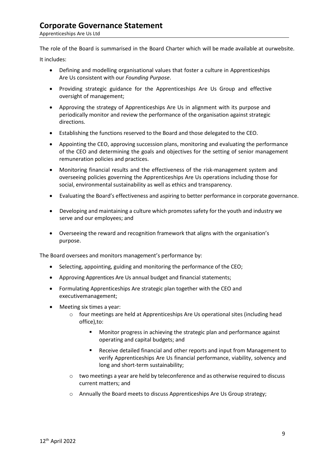The role of the Board is summarised in the Board Charter which will be made available at ourwebsite.

It includes:

- Defining and modelling organisational values that foster a culture in Apprenticeships Are Us consistent with our *Founding Purpose*.
- Providing strategic guidance for the Apprenticeships Are Us Group and effective oversight of management;
- Approving the strategy of Apprenticeships Are Us in alignment with its purpose and periodically monitor and review the performance of the organisation against strategic directions.
- Establishing the functions reserved to the Board and those delegated to the CEO.
- Appointing the CEO, approving succession plans, monitoring and evaluating the performance of the CEO and determining the goals and objectives for the setting of senior management remuneration policies and practices.
- Monitoring financial results and the effectiveness of the risk-management system and overseeing policies governing the Apprenticeships Are Us operations including those for social, environmental sustainability as well as ethics and transparency.
- Evaluating the Board's effectiveness and aspiring to better performance in corporate governance.
- Developing and maintaining a culture which promotes safety for the youth and industry we serve and our employees; and
- Overseeing the reward and recognition framework that aligns with the organisation's purpose.

The Board oversees and monitors management's performance by:

- Selecting, appointing, guiding and monitoring the performance of the CEO;
- Approving Apprentices Are Us annual budget and financial statements;
- Formulating Apprenticeships Are strategic plan together with the CEO and executivemanagement;
- Meeting six times a year:
	- o four meetings are held at Apprenticeships Are Us operational sites (including head office),to:
		- **Monitor progress in achieving the strategic plan and performance against** operating and capital budgets; and
		- Receive detailed financial and other reports and input from Management to verify Apprenticeships Are Us financial performance, viability, solvency and long and short-term sustainability;
	- o two meetings a year are held by teleconference and as otherwise required to discuss current matters; and
	- o Annually the Board meets to discuss Apprenticeships Are Us Group strategy;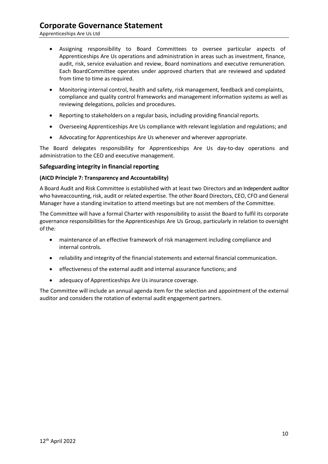### **Corporate Governance Statement**

Apprenticeships Are Us Ltd

- Assigning responsibility to Board Committees to oversee particular aspects of Apprenticeships Are Us operations and administration in areas such as investment, finance, audit, risk, service evaluation and review, Board nominations and executive remuneration. Each BoardCommittee operates under approved charters that are reviewed and updated from time to time as required.
- Monitoring internal control, health and safety, risk management, feedback and complaints, compliance and quality control frameworks and management information systems as well as reviewing delegations, policies and procedures.
- Reporting to stakeholders on a regular basis, including providing financial reports.
- Overseeing Apprenticeships Are Us compliance with relevant legislation and regulations; and
- Advocating for Apprenticeships Are Us whenever and wherever appropriate.

The Board delegates responsibility for Apprenticeships Are Us day-to-day operations and administration to the CEO and executive management.

#### **Safeguarding integrity in financial reporting**

#### **(AICD Principle 7: Transparency and Accountability)**

A Board Audit and Risk Committee is established with at least two Directors and an Independent auditor who haveaccounting, risk, audit or related expertise. The other Board Directors, CEO, CFO and General Manager have a standing invitation to attend meetings but are not members of the Committee.

The Committee will have a formal Charter with responsibility to assist the Board to fulfil its corporate governance responsibilities for the Apprenticeships Are Us Group, particularly in relation to oversight of the:

- maintenance of an effective framework of risk management including compliance and internal controls.
- reliability and integrity of the financial statements and external financial communication.
- effectiveness of the external audit and internal assurance functions; and
- adequacy of Apprenticeships Are Us insurance coverage.

The Committee will include an annual agenda item for the selection and appointment of the external auditor and considers the rotation of external audit engagement partners.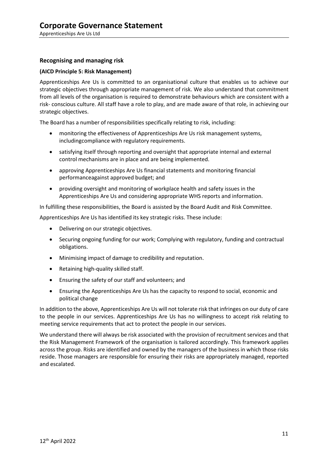#### **Recognising and managing risk**

#### **(AICD Principle 5: Risk Management)**

Apprenticeships Are Us is committed to an organisational culture that enables us to achieve our strategic objectives through appropriate management of risk. We also understand that commitment from all levels of the organisation is required to demonstrate behaviours which are consistent with a risk- conscious culture. All staff have a role to play, and are made aware of that role, in achieving our strategic objectives.

The Board has a number of responsibilities specifically relating to risk, including:

- monitoring the effectiveness of Apprenticeships Are Us risk management systems, includingcompliance with regulatory requirements.
- satisfying itself through reporting and oversight that appropriate internal and external control mechanisms are in place and are being implemented.
- approving Apprenticeships Are Us financial statements and monitoring financial performanceagainst approved budget; and
- providing oversight and monitoring of workplace health and safety issues in the Apprenticeships Are Us and considering appropriate WHS reports and information.

In fulfilling these responsibilities, the Board is assisted by the Board Audit and Risk Committee.

Apprenticeships Are Us has identified its key strategic risks. These include:

- Delivering on our strategic objectives.
- Securing ongoing funding for our work; Complying with regulatory, funding and contractual obligations.
- Minimising impact of damage to credibility and reputation.
- Retaining high-quality skilled staff.
- Ensuring the safety of our staff and volunteers; and
- Ensuring the Apprenticeships Are Us has the capacity to respond to social, economic and political change

In addition to the above, Apprenticeships Are Us will not tolerate risk that infringes on our duty of care to the people in our services. Apprenticeships Are Us has no willingness to accept risk relating to meeting service requirements that act to protect the people in our services.

We understand there will always be risk associated with the provision of recruitment services and that the Risk Management Framework of the organisation is tailored accordingly. This framework applies across the group. Risks are identified and owned by the managers of the business in which those risks reside. Those managers are responsible for ensuring their risks are appropriately managed, reported and escalated.